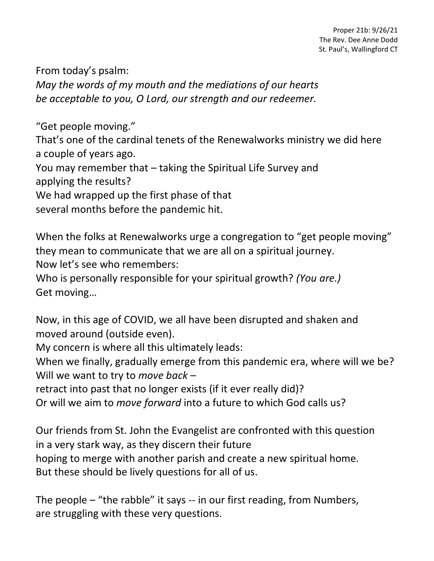From today's psalm: *May the words of my mouth and the mediations of our hearts be acceptable to you, O Lord, our strength and our redeemer.*

"Get people moving."

That's one of the cardinal tenets of the Renewalworks ministry we did here a couple of years ago.

You may remember that – taking the Spiritual Life Survey and applying the results?

We had wrapped up the first phase of that

several months before the pandemic hit.

When the folks at Renewalworks urge a congregation to "get people moving" they mean to communicate that we are all on a spiritual journey.

Now let's see who remembers:

Who is personally responsible for your spiritual growth? *(You are.)* Get moving…

Now, in this age of COVID, we all have been disrupted and shaken and moved around (outside even).

My concern is where all this ultimately leads:

When we finally, gradually emerge from this pandemic era, where will we be? Will we want to try to *move back* –

retract into past that no longer exists (if it ever really did)?

Or will we aim to *move forward* into a future to which God calls us?

Our friends from St. John the Evangelist are confronted with this question in a very stark way, as they discern their future hoping to merge with another parish and create a new spiritual home. But these should be lively questions for all of us.

The people – "the rabble" it says -- in our first reading, from Numbers, are struggling with these very questions.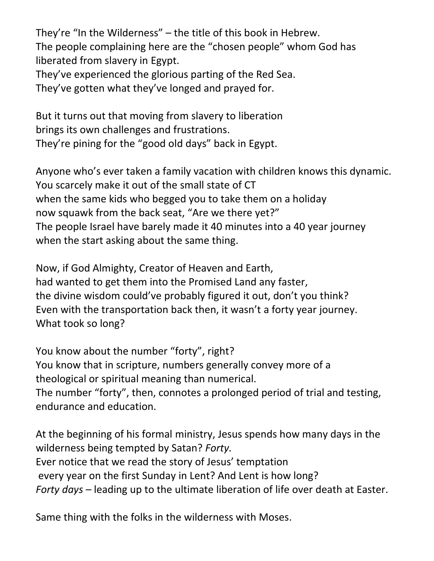They're "In the Wilderness" – the title of this book in Hebrew. The people complaining here are the "chosen people" whom God has liberated from slavery in Egypt.

They've experienced the glorious parting of the Red Sea.

They've gotten what they've longed and prayed for.

But it turns out that moving from slavery to liberation brings its own challenges and frustrations. They're pining for the "good old days" back in Egypt.

Anyone who's ever taken a family vacation with children knows this dynamic. You scarcely make it out of the small state of CT when the same kids who begged you to take them on a holiday now squawk from the back seat, "Are we there yet?" The people Israel have barely made it 40 minutes into a 40 year journey when the start asking about the same thing.

Now, if God Almighty, Creator of Heaven and Earth, had wanted to get them into the Promised Land any faster, the divine wisdom could've probably figured it out, don't you think? Even with the transportation back then, it wasn't a forty year journey. What took so long?

You know about the number "forty", right? You know that in scripture, numbers generally convey more of a theological or spiritual meaning than numerical. The number "forty", then, connotes a prolonged period of trial and testing, endurance and education.

At the beginning of his formal ministry, Jesus spends how many days in the wilderness being tempted by Satan? *Forty.* Ever notice that we read the story of Jesus' temptation every year on the first Sunday in Lent? And Lent is how long? *Forty days* – leading up to the ultimate liberation of life over death at Easter.

Same thing with the folks in the wilderness with Moses.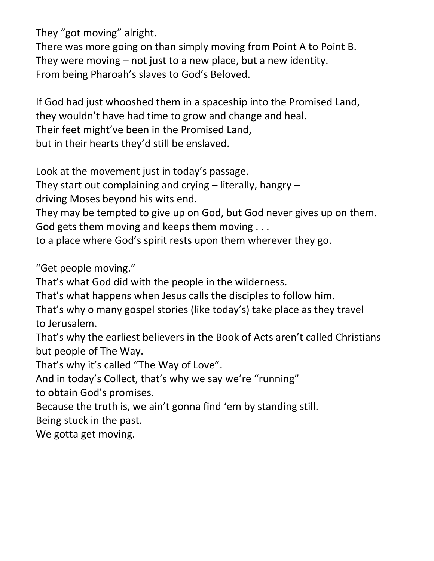They "got moving" alright.

There was more going on than simply moving from Point A to Point B. They were moving – not just to a new place, but a new identity. From being Pharoah's slaves to God's Beloved.

If God had just whooshed them in a spaceship into the Promised Land, they wouldn't have had time to grow and change and heal. Their feet might've been in the Promised Land, but in their hearts they'd still be enslaved.

Look at the movement just in today's passage.

They start out complaining and crying – literally, hangry –

driving Moses beyond his wits end.

They may be tempted to give up on God, but God never gives up on them. God gets them moving and keeps them moving . . .

to a place where God's spirit rests upon them wherever they go.

"Get people moving."

That's what God did with the people in the wilderness.

That's what happens when Jesus calls the disciples to follow him.

That's why o many gospel stories (like today's) take place as they travel to Jerusalem.

That's why the earliest believers in the Book of Acts aren't called Christians but people of The Way.

That's why it's called "The Way of Love".

And in today's Collect, that's why we say we're "running"

to obtain God's promises.

Because the truth is, we ain't gonna find 'em by standing still.

Being stuck in the past.

We gotta get moving.